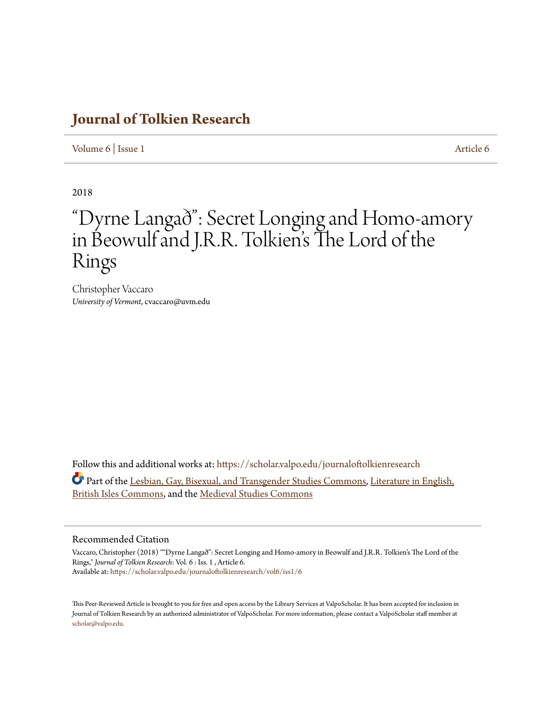# **[Journal of Tolkien Research](https://scholar.valpo.edu/journaloftolkienresearch?utm_source=scholar.valpo.edu%2Fjournaloftolkienresearch%2Fvol6%2Fiss1%2F6&utm_medium=PDF&utm_campaign=PDFCoverPages)**

[Volume 6](https://scholar.valpo.edu/journaloftolkienresearch/vol6?utm_source=scholar.valpo.edu%2Fjournaloftolkienresearch%2Fvol6%2Fiss1%2F6&utm_medium=PDF&utm_campaign=PDFCoverPages) | [Issue 1](https://scholar.valpo.edu/journaloftolkienresearch/vol6/iss1?utm_source=scholar.valpo.edu%2Fjournaloftolkienresearch%2Fvol6%2Fiss1%2F6&utm_medium=PDF&utm_campaign=PDFCoverPages) [Article 6](https://scholar.valpo.edu/journaloftolkienresearch/vol6/iss1/6?utm_source=scholar.valpo.edu%2Fjournaloftolkienresearch%2Fvol6%2Fiss1%2F6&utm_medium=PDF&utm_campaign=PDFCoverPages)

2018

# "Dyrne Langað": Secret Longing and Homo-amory in Beowulf and J.R.R. Tolkien 's The Lord of the Rings

Christopher Vaccaro *University of Vermont*, cvaccaro@uvm.edu

Follow this and additional works at: [https://scholar.valpo.edu/journaloftolkienresearch](https://scholar.valpo.edu/journaloftolkienresearch?utm_source=scholar.valpo.edu%2Fjournaloftolkienresearch%2Fvol6%2Fiss1%2F6&utm_medium=PDF&utm_campaign=PDFCoverPages) Part of the [Lesbian, Gay, Bisexual, and Transgender Studies Commons,](http://network.bepress.com/hgg/discipline/560?utm_source=scholar.valpo.edu%2Fjournaloftolkienresearch%2Fvol6%2Fiss1%2F6&utm_medium=PDF&utm_campaign=PDFCoverPages) [Literature in English,](http://network.bepress.com/hgg/discipline/456?utm_source=scholar.valpo.edu%2Fjournaloftolkienresearch%2Fvol6%2Fiss1%2F6&utm_medium=PDF&utm_campaign=PDFCoverPages) [British Isles Commons](http://network.bepress.com/hgg/discipline/456?utm_source=scholar.valpo.edu%2Fjournaloftolkienresearch%2Fvol6%2Fiss1%2F6&utm_medium=PDF&utm_campaign=PDFCoverPages), and the [Medieval Studies Commons](http://network.bepress.com/hgg/discipline/480?utm_source=scholar.valpo.edu%2Fjournaloftolkienresearch%2Fvol6%2Fiss1%2F6&utm_medium=PDF&utm_campaign=PDFCoverPages)

#### Recommended Citation

Vaccaro, Christopher (2018) ""Dyrne Langað": Secret Longing and Homo-amory in Beowulf and J.R.R. Tolkien's The Lord of the Rings," *Journal of Tolkien Research*: Vol. 6 : Iss. 1 , Article 6. Available at: [https://scholar.valpo.edu/journaloftolkienresearch/vol6/iss1/6](https://scholar.valpo.edu/journaloftolkienresearch/vol6/iss1/6?utm_source=scholar.valpo.edu%2Fjournaloftolkienresearch%2Fvol6%2Fiss1%2F6&utm_medium=PDF&utm_campaign=PDFCoverPages)

This Peer-Reviewed Article is brought to you for free and open access by the Library Services at ValpoScholar. It has been accepted for inclusion in Journal of Tolkien Research by an authorized administrator of ValpoScholar. For more information, please contact a ValpoScholar staff member at [scholar@valpo.edu.](mailto:scholar@valpo.edu)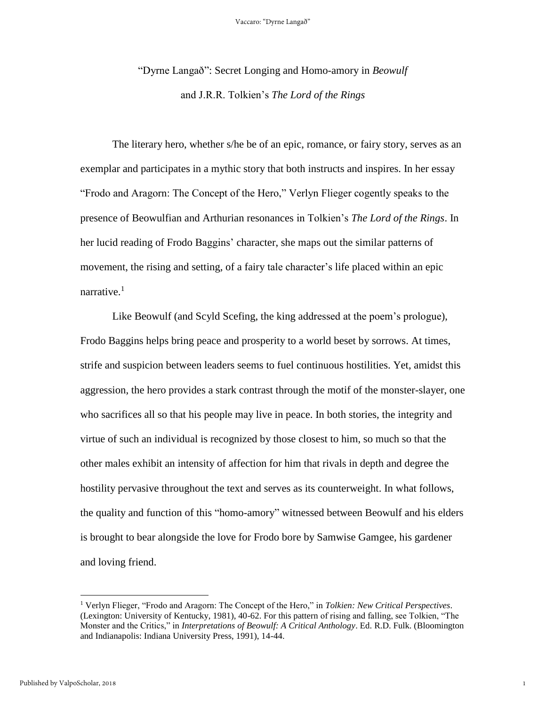"Dyrne Langað": Secret Longing and Homo-amory in *Beowulf* and J.R.R. Tolkien's *The Lord of the Rings*

The literary hero, whether s/he be of an epic, romance, or fairy story, serves as an exemplar and participates in a mythic story that both instructs and inspires. In her essay "Frodo and Aragorn: The Concept of the Hero," Verlyn Flieger cogently speaks to the presence of Beowulfian and Arthurian resonances in Tolkien's *The Lord of the Rings*. In her lucid reading of Frodo Baggins' character, she maps out the similar patterns of movement, the rising and setting, of a fairy tale character's life placed within an epic narrative.<sup>1</sup>

Like Beowulf (and Scyld Scefing, the king addressed at the poem's prologue), Frodo Baggins helps bring peace and prosperity to a world beset by sorrows. At times, strife and suspicion between leaders seems to fuel continuous hostilities. Yet, amidst this aggression, the hero provides a stark contrast through the motif of the monster-slayer, one who sacrifices all so that his people may live in peace. In both stories, the integrity and virtue of such an individual is recognized by those closest to him, so much so that the other males exhibit an intensity of affection for him that rivals in depth and degree the hostility pervasive throughout the text and serves as its counterweight. In what follows, the quality and function of this "homo-amory" witnessed between Beowulf and his elders is brought to bear alongside the love for Frodo bore by Samwise Gamgee, his gardener and loving friend.

1

<sup>1</sup> Verlyn Flieger, "Frodo and Aragorn: The Concept of the Hero," in *Tolkien: New Critical Perspectives*. (Lexington: University of Kentucky, 1981), 40-62. For this pattern of rising and falling, see Tolkien, "The Monster and the Critics," in *Interpretations of Beowulf: A Critical Anthology*. Ed. R.D. Fulk. (Bloomington and Indianapolis: Indiana University Press, 1991), 14-44.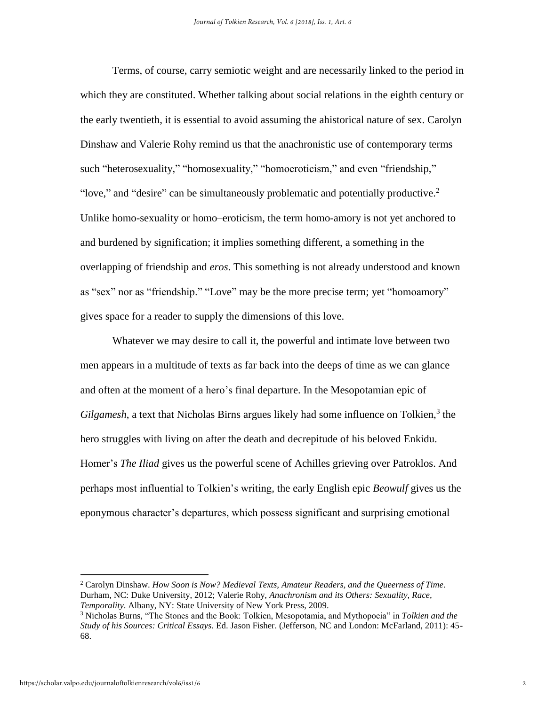Terms, of course, carry semiotic weight and are necessarily linked to the period in which they are constituted. Whether talking about social relations in the eighth century or the early twentieth, it is essential to avoid assuming the ahistorical nature of sex. Carolyn Dinshaw and Valerie Rohy remind us that the anachronistic use of contemporary terms such "heterosexuality," "homosexuality," "homoeroticism," and even "friendship," "love," and "desire" can be simultaneously problematic and potentially productive.<sup>2</sup> Unlike homo-sexuality or homo–eroticism, the term homo-amory is not yet anchored to and burdened by signification; it implies something different, a something in the overlapping of friendship and *eros*. This something is not already understood and known as "sex" nor as "friendship." "Love" may be the more precise term; yet "homoamory" gives space for a reader to supply the dimensions of this love.

Whatever we may desire to call it, the powerful and intimate love between two men appears in a multitude of texts as far back into the deeps of time as we can glance and often at the moment of a hero's final departure. In the Mesopotamian epic of Gilgamesh, a text that Nicholas Birns argues likely had some influence on Tolkien,<sup>3</sup> the hero struggles with living on after the death and decrepitude of his beloved Enkidu. Homer's *The Iliad* gives us the powerful scene of Achilles grieving over Patroklos. And perhaps most influential to Tolkien's writing*,* the early English epic *Beowulf* gives us the eponymous character's departures, which possess significant and surprising emotional

<sup>2</sup> Carolyn Dinshaw. *How Soon is Now? Medieval Texts, Amateur Readers, and the Queerness of Time*. Durham, NC: Duke University, 2012; Valerie Rohy, *Anachronism and its Others: Sexuality, Race, Temporality*. Albany, NY: State University of New York Press, 2009.

<sup>3</sup> Nicholas Burns, "The Stones and the Book: Tolkien, Mesopotamia, and Mythopoeia" in *Tolkien and the Study of his Sources: Critical Essays*. Ed. Jason Fisher. (Jefferson, NC and London: McFarland, 2011): 45- 68.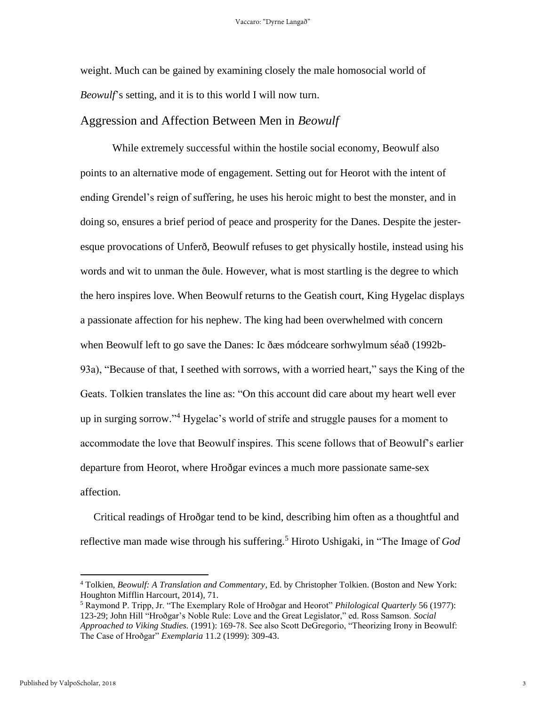weight. Much can be gained by examining closely the male homosocial world of *Beowulf*'s setting, and it is to this world I will now turn.

## Aggression and Affection Between Men in *Beowulf*

While extremely successful within the hostile social economy, Beowulf also points to an alternative mode of engagement. Setting out for Heorot with the intent of ending Grendel's reign of suffering, he uses his heroic might to best the monster, and in doing so, ensures a brief period of peace and prosperity for the Danes. Despite the jesteresque provocations of Unferð, Beowulf refuses to get physically hostile, instead using his words and wit to unman the ðule. However, what is most startling is the degree to which the hero inspires love. When Beowulf returns to the Geatish court, King Hygelac displays a passionate affection for his nephew. The king had been overwhelmed with concern when Beowulf left to go save the Danes: Ic ðæs módceare sorhwylmum séað (1992b-93a), "Because of that, I seethed with sorrows, with a worried heart," says the King of the Geats. Tolkien translates the line as: "On this account did care about my heart well ever up in surging sorrow." <sup>4</sup> Hygelac's world of strife and struggle pauses for a moment to accommodate the love that Beowulf inspires. This scene follows that of Beowulf's earlier departure from Heorot, where Hroðgar evinces a much more passionate same-sex affection.

 Critical readings of Hroðgar tend to be kind, describing him often as a thoughtful and reflective man made wise through his suffering.<sup>5</sup> Hiroto Ushigaki, in "The Image of *God* 

<sup>4</sup> Tolkien, *Beowulf: A Translation and Commentary*, Ed. by Christopher Tolkien. (Boston and New York: Houghton Mifflin Harcourt, 2014), 71.

<sup>5</sup> Raymond P. Tripp, Jr. "The Exemplary Role of Hroðgar and Heorot" *Philological Quarterly* 56 (1977): 123-29; John Hill "Hroðgar's Noble Rule: Love and the Great Legislator," ed. Ross Samson. *Social Approached to Viking Studies.* (1991): 169-78. See also Scott DeGregorio, "Theorizing Irony in Beowulf: The Case of Hroðgar" *Exemplaria* 11.2 (1999): 309-43.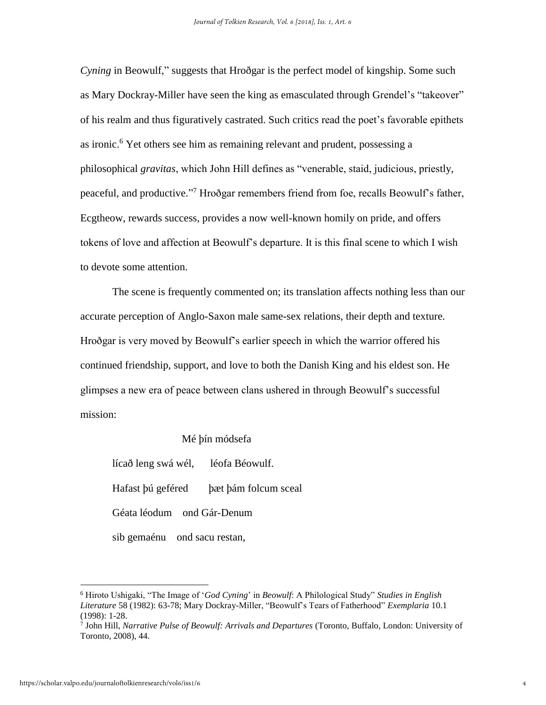*Cyning* in Beowulf," suggests that Hroðgar is the perfect model of kingship. Some such as Mary Dockray-Miller have seen the king as emasculated through Grendel's "takeover" of his realm and thus figuratively castrated. Such critics read the poet's favorable epithets as ironic.<sup>6</sup> Yet others see him as remaining relevant and prudent, possessing a philosophical *gravitas*, which John Hill defines as "venerable, staid, judicious, priestly, peaceful, and productive."<sup>7</sup> Hroðgar remembers friend from foe, recalls Beowulf's father, Ecgtheow, rewards success, provides a now well-known homily on pride, and offers tokens of love and affection at Beowulf's departure. It is this final scene to which I wish to devote some attention.

The scene is frequently commented on; its translation affects nothing less than our accurate perception of Anglo-Saxon male same-sex relations, their depth and texture. Hroðgar is very moved by Beowulf's earlier speech in which the warrior offered his continued friendship, support, and love to both the Danish King and his eldest son. He glimpses a new era of peace between clans ushered in through Beowulf's successful mission:

#### Mé þín módsefa

lícað leng swá wél, léofa Béowulf. Hafast þú geféred þæt þám folcum sceal Géata léodum ond Gár-Denum sib gemaénu ond sacu restan,

<sup>6</sup> Hiroto Ushigaki, "The Image of '*God Cyning*' in *Beowulf*: A Philological Study" *Studies in English Literature* 58 (1982): 63-78; Mary Dockray-Miller, "Beowulf's Tears of Fatherhood" *Exemplaria* 10.1 (1998): 1-28.

<sup>7</sup> John Hill, *Narrative Pulse of Beowulf: Arrivals and Departures* (Toronto, Buffalo, London: University of Toronto, 2008), 44.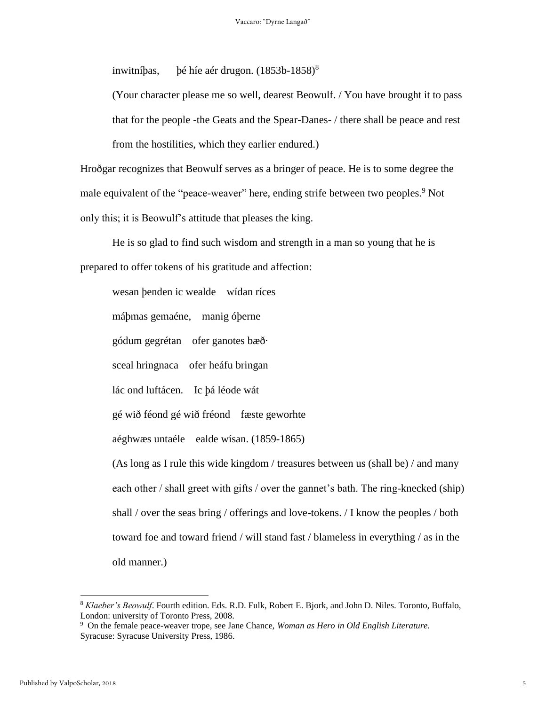inwitníþas, þé híe aér drugon. (1853b-1858) 8

(Your character please me so well, dearest Beowulf. / You have brought it to pass that for the people -the Geats and the Spear-Danes- / there shall be peace and rest from the hostilities, which they earlier endured.)

Hroðgar recognizes that Beowulf serves as a bringer of peace. He is to some degree the male equivalent of the "peace-weaver" here, ending strife between two peoples.<sup>9</sup> Not only this; it is Beowulf's attitude that pleases the king.

He is so glad to find such wisdom and strength in a man so young that he is prepared to offer tokens of his gratitude and affection:

wesan þenden ic wealde wídan ríces máþmas gemaéne, manig óþerne gódum gegrétan ofer ganotes bæð· sceal hringnaca ofer heáfu bringan lác ond luftácen. Ic þá léode wát gé wið féond gé wið fréond fæste geworhte aéghwæs untaéle ealde wísan. (1859-1865) (As long as I rule this wide kingdom / treasures between us (shall be) / and many each other / shall greet with gifts / over the gannet's bath. The ring-knecked (ship) shall / over the seas bring / offerings and love-tokens. / I know the peoples / both toward foe and toward friend / will stand fast / blameless in everything / as in the old manner.)

<sup>8</sup> *Klaeber's Beowulf*. Fourth edition. Eds. R.D. Fulk, Robert E. Bjork, and John D. Niles. Toronto, Buffalo, London: university of Toronto Press, 2008.

<sup>9</sup> On the female peace-weaver trope, see Jane Chance, *Woman as Hero in Old English Literature.*  Syracuse: Syracuse University Press, 1986.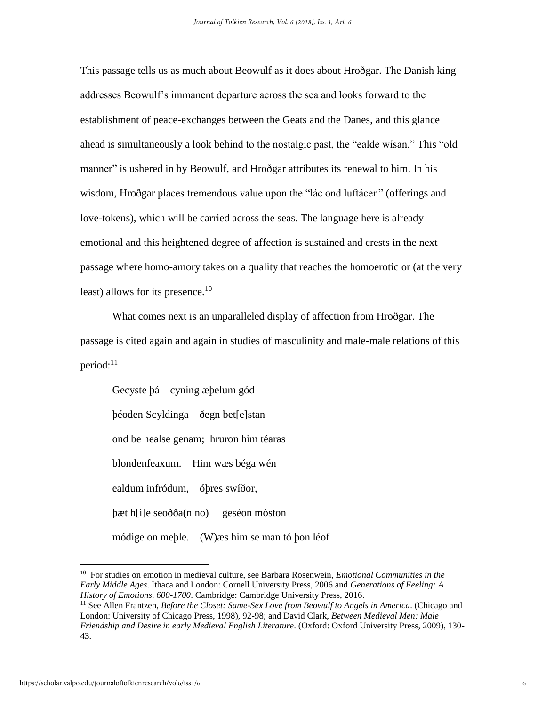This passage tells us as much about Beowulf as it does about Hroðgar. The Danish king addresses Beowulf's immanent departure across the sea and looks forward to the establishment of peace-exchanges between the Geats and the Danes, and this glance ahead is simultaneously a look behind to the nostalgic past, the "ealde wísan." This "old manner" is ushered in by Beowulf, and Hroðgar attributes its renewal to him. In his wisdom, Hroðgar places tremendous value upon the "lác ond luftácen" (offerings and love-tokens), which will be carried across the seas. The language here is already emotional and this heightened degree of affection is sustained and crests in the next passage where homo-amory takes on a quality that reaches the homoerotic or (at the very least) allows for its presence.<sup>10</sup>

What comes next is an unparalleled display of affection from Hroðgar. The passage is cited again and again in studies of masculinity and male-male relations of this period:<sup>11</sup>

Gecyste þá cyning æþelum gód þéoden Scyldinga ðegn bet[e]stan ond be healse genam; hruron him téaras blondenfeaxum. Him wæs béga wén ealdum infródum, óþres swíðor, þæt h[í]e seoðða(n no) geséon móston módige on meþle. (W)æs him se man tó þon léof

<sup>10</sup> For studies on emotion in medieval culture, see Barbara Rosenwein, *Emotional Communities in the Early Middle Ages*. Ithaca and London: Cornell University Press, 2006 and *Generations of Feeling: A History of Emotions, 600-1700*. Cambridge: Cambridge University Press, 2016.

<sup>11</sup> See Allen Frantzen, *Before the Closet: Same-Sex Love from Beowulf to Angels in America*. (Chicago and London: University of Chicago Press, 1998), 92-98; and David Clark, *Between Medieval Men: Male Friendship and Desire in early Medieval English Literature*. (Oxford: Oxford University Press, 2009), 130- 43.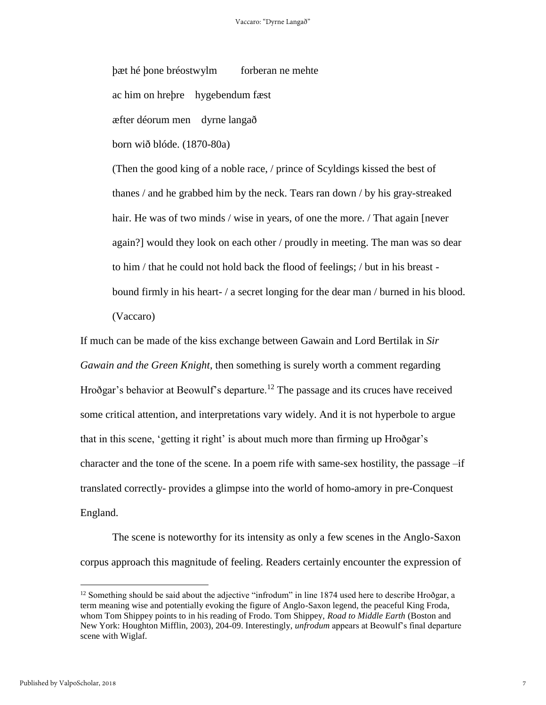þæt hé þone bréostwylm forberan ne mehte

ac him on hreþre hygebendum fæst

æfter déorum men dyrne langað

born wið blóde. (1870-80a)

(Then the good king of a noble race, / prince of Scyldings kissed the best of thanes / and he grabbed him by the neck. Tears ran down / by his gray-streaked hair. He was of two minds / wise in years, of one the more. / That again [never] again?] would they look on each other / proudly in meeting. The man was so dear to him / that he could not hold back the flood of feelings; / but in his breast bound firmly in his heart- / a secret longing for the dear man / burned in his blood. (Vaccaro)

If much can be made of the kiss exchange between Gawain and Lord Bertilak in *Sir Gawain and the Green Knight*, then something is surely worth a comment regarding Hroðgar's behavior at Beowulf's departure.<sup>12</sup> The passage and its cruces have received some critical attention, and interpretations vary widely. And it is not hyperbole to argue that in this scene, 'getting it right' is about much more than firming up Hroðgar's character and the tone of the scene. In a poem rife with same-sex hostility, the passage –if translated correctly- provides a glimpse into the world of homo-amory in pre-Conquest England.

The scene is noteworthy for its intensity as only a few scenes in the Anglo-Saxon corpus approach this magnitude of feeling. Readers certainly encounter the expression of

 $12$  Something should be said about the adjective "infrodum" in line 1874 used here to describe Hroðgar, a term meaning wise and potentially evoking the figure of Anglo-Saxon legend, the peaceful King Froda, whom Tom Shippey points to in his reading of Frodo. Tom Shippey, *Road to Middle Earth* (Boston and New York: Houghton Mifflin, 2003), 204-09. Interestingly, *unfrodum* appears at Beowulf's final departure scene with Wiglaf.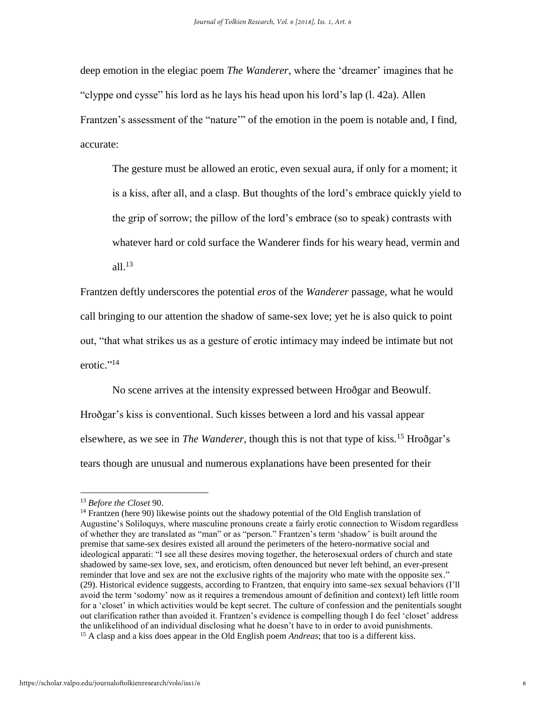deep emotion in the elegiac poem *The Wanderer*, where the 'dreamer' imagines that he "clyppe ond cysse" his lord as he lays his head upon his lord's lap (l. 42a). Allen Frantzen's assessment of the "nature'" of the emotion in the poem is notable and, I find, accurate:

The gesture must be allowed an erotic, even sexual aura, if only for a moment; it is a kiss, after all, and a clasp. But thoughts of the lord's embrace quickly yield to the grip of sorrow; the pillow of the lord's embrace (so to speak) contrasts with whatever hard or cold surface the Wanderer finds for his weary head, vermin and all $1^{13}$ 

Frantzen deftly underscores the potential *eros* of the *Wanderer* passage, what he would call bringing to our attention the shadow of same-sex love; yet he is also quick to point out, "that what strikes us as a gesture of erotic intimacy may indeed be intimate but not erotic."<sup>14</sup>

No scene arrives at the intensity expressed between Hroðgar and Beowulf. Hroðgar's kiss is conventional. Such kisses between a lord and his vassal appear elsewhere, as we see in *The Wanderer*, though this is not that type of kiss.<sup>15</sup> Hroðgar's tears though are unusual and numerous explanations have been presented for their

l

<sup>13</sup> *Before the Closet* 90.

<sup>&</sup>lt;sup>14</sup> Frantzen (here 90) likewise points out the shadowy potential of the Old English translation of Augustine's Soliloquys, where masculine pronouns create a fairly erotic connection to Wisdom regardless of whether they are translated as "man" or as "person." Frantzen's term 'shadow' is built around the premise that same-sex desires existed all around the perimeters of the hetero-normative social and ideological apparati: "I see all these desires moving together, the heterosexual orders of church and state shadowed by same-sex love, sex, and eroticism, often denounced but never left behind, an ever-present reminder that love and sex are not the exclusive rights of the majority who mate with the opposite sex." (29). Historical evidence suggests, according to Frantzen, that enquiry into same-sex sexual behaviors (I'll avoid the term 'sodomy' now as it requires a tremendous amount of definition and context) left little room for a 'closet' in which activities would be kept secret. The culture of confession and the penitentials sought out clarification rather than avoided it. Frantzen's evidence is compelling though I do feel 'closet' address the unlikelihood of an individual disclosing what he doesn't have to in order to avoid punishments. <sup>15</sup> A clasp and a kiss does appear in the Old English poem *Andreas*; that too is a different kiss.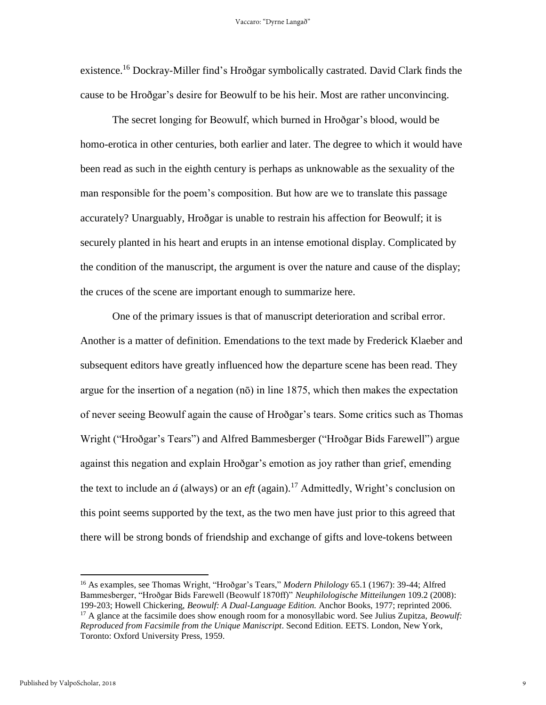existence.<sup>16</sup> Dockray-Miller find's Hroðgar symbolically castrated. David Clark finds the cause to be Hroðgar's desire for Beowulf to be his heir. Most are rather unconvincing.

The secret longing for Beowulf, which burned in Hroðgar's blood, would be homo-erotica in other centuries, both earlier and later. The degree to which it would have been read as such in the eighth century is perhaps as unknowable as the sexuality of the man responsible for the poem's composition. But how are we to translate this passage accurately? Unarguably, Hroðgar is unable to restrain his affection for Beowulf; it is securely planted in his heart and erupts in an intense emotional display. Complicated by the condition of the manuscript, the argument is over the nature and cause of the display; the cruces of the scene are important enough to summarize here.

One of the primary issues is that of manuscript deterioration and scribal error. Another is a matter of definition. Emendations to the text made by Frederick Klaeber and subsequent editors have greatly influenced how the departure scene has been read. They argue for the insertion of a negation  $(n\bar{o})$  in line 1875, which then makes the expectation of never seeing Beowulf again the cause of Hroðgar's tears. Some critics such as Thomas Wright ("Hroðgar's Tears") and Alfred Bammesberger ("Hroðgar Bids Farewell") argue against this negation and explain Hroðgar's emotion as joy rather than grief, emending the text to include an  $\acute{a}$  (always) or an *eft* (again).<sup>17</sup> Admittedly, Wright's conclusion on this point seems supported by the text, as the two men have just prior to this agreed that there will be strong bonds of friendship and exchange of gifts and love-tokens between

<sup>16</sup> As examples, see Thomas Wright, "Hroðgar's Tears," *Modern Philology* 65.1 (1967): 39-44; Alfred Bammesberger, "Hroðgar Bids Farewell (Beowulf 1870ff)" *Neuphilologische Mitteilungen* 109.2 (2008): 199-203; Howell Chickering, *Beowulf: A Dual-Language Edition.* Anchor Books, 1977; reprinted 2006.

<sup>&</sup>lt;sup>17</sup> A glance at the facsimile does show enough room for a monosyllabic word. See Julius Zupitza, *Beowulf: Reproduced from Facsimile from the Unique Maniscript*. Second Edition. EETS. London, New York, Toronto: Oxford University Press, 1959.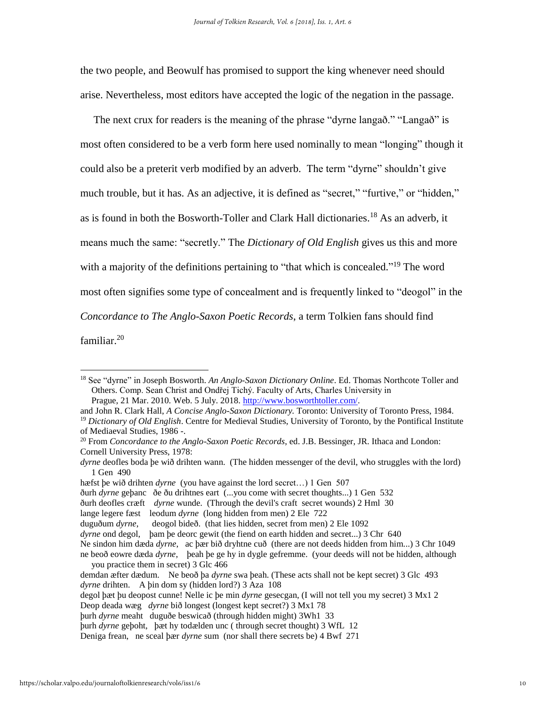the two people, and Beowulf has promised to support the king whenever need should arise. Nevertheless, most editors have accepted the logic of the negation in the passage.

 The next crux for readers is the meaning of the phrase "dyrne langað." "Langað" is most often considered to be a verb form here used nominally to mean "longing" though it could also be a preterit verb modified by an adverb. The term "dyrne" shouldn't give much trouble, but it has. As an adjective, it is defined as "secret," "furtive," or "hidden," as is found in both the Bosworth-Toller and Clark Hall dictionaries. <sup>18</sup> As an adverb, it means much the same: "secretly." The *Dictionary of Old English* gives us this and more with a majority of the definitions pertaining to "that which is concealed."<sup>19</sup> The word most often signifies some type of concealment and is frequently linked to "deogol" in the *Concordance to The Anglo-Saxon Poetic Records*, a term Tolkien fans should find familiar.<sup>20</sup>

and John R. Clark Hall, *A Concise Anglo-Saxon Dictionary.* Toronto: University of Toronto Press, 1984. <sup>19</sup> *Dictionary of Old English*. Centre for Medieval Studies, University of Toronto, by the Pontifical Institute of Mediaeval Studies, 1986 -.

hæfst þe wið drihten *dyrne* (you have against the lord secret…) 1 Gen 507

lange legere fæst leodum *dyrne* (long hidden from men) 2 Ele 722

þurh *dyrne* meaht duguðe beswicað (through hidden might) 3Wh1 33

<sup>18</sup> See "dyrne" in Joseph Bosworth. *An Anglo-Saxon Dictionary Online*. Ed. Thomas Northcote Toller and Others. Comp. Sean Christ and Ondřej Tichý. Faculty of Arts, Charles University in Prague, 21 Mar. 2010. Web. 5 July. 2018. [http://www.bosworthtoller.com/.](http://www.bosworthtoller.com/)

<sup>20</sup> From *Concordance to the Anglo-Saxon Poetic Records*, ed. J.B. Bessinger, JR. Ithaca and London: Cornell University Press, 1978:

*dyrne* deofles boda þe wið drihten wann. (The hidden messenger of the devil, who struggles with the lord) 1 Gen 490

ðurh *dyrne* geþanc ðe ðu drihtnes eart (...you come with secret thoughts...) 1 Gen 532

ðurh deofles cræft *dyrne* wunde. (Through the devil's craft secret wounds) 2 Hml 30

duguðum *dyrne*, deogol bideð. (that lies hidden, secret from men) 2 Ele 1092

*dyrne* ond degol, þam þe deorc gewit (the fiend on earth hidden and secret...) 3 Chr 640

Ne sindon him dæda *dyrne*, ac þær bið dryhtne cuð (there are not deeds hidden from him...) 3 Chr 1049 ne beoð eowre dæda *dyrne*, þeah þe ge hy in dygle gefremme. (your deeds will not be hidden, although you practice them in secret) 3 Glc 466

demdan æfter dædum. Ne beoð þa *dyrne* swa þeah. (These acts shall not be kept secret) 3 Glc 493 *dyrne* drihten. A þin dom sy (hidden lord?) 3 Aza 108

degol þæt þu deopost cunne! Nelle ic þe min *dyrne* gesecgan, (I will not tell you my secret) 3 Mx1 2

Deop deada wæg *dyrne* bið longest (longest kept secret?) 3 Mx1 78

þurh *dyrne* geþoht, þæt hy todælden unc ( through secret thought) 3 WfL 12

Deniga frean, ne sceal þær *dyrne* sum (nor shall there secrets be) 4 Bwf 271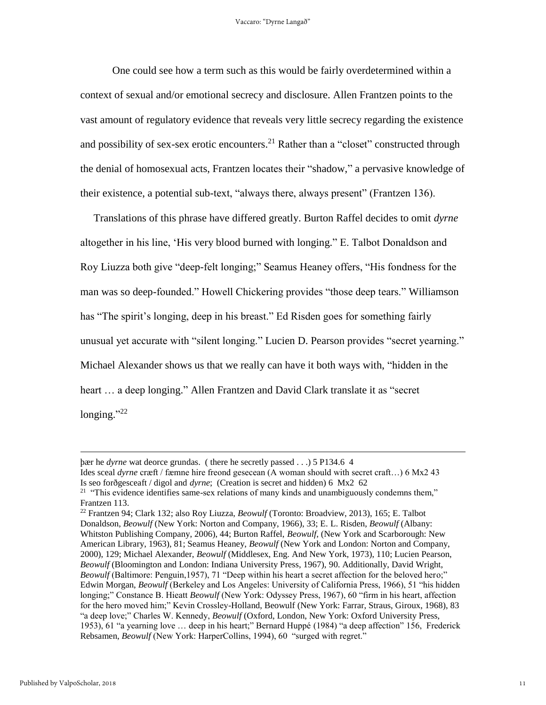One could see how a term such as this would be fairly overdetermined within a context of sexual and/or emotional secrecy and disclosure. Allen Frantzen points to the vast amount of regulatory evidence that reveals very little secrecy regarding the existence and possibility of sex-sex erotic encounters.<sup>21</sup> Rather than a "closet" constructed through the denial of homosexual acts, Frantzen locates their "shadow," a pervasive knowledge of their existence, a potential sub-text, "always there, always present" (Frantzen 136).

 Translations of this phrase have differed greatly. Burton Raffel decides to omit *dyrne* altogether in his line, 'His very blood burned with longing." E. Talbot Donaldson and Roy Liuzza both give "deep-felt longing;" Seamus Heaney offers, "His fondness for the man was so deep-founded." Howell Chickering provides "those deep tears." Williamson has "The spirit's longing, deep in his breast." Ed Risden goes for something fairly unusual yet accurate with "silent longing." Lucien D. Pearson provides "secret yearning." Michael Alexander shows us that we really can have it both ways with, "hidden in the heart … a deep longing." Allen Frantzen and David Clark translate it as "secret longing."<sup>22</sup>

þær he *dyrne* wat deorce grundas. ( there he secretly passed . . .) 5 P134.6 4 Ides sceal *dyrne* cræft / fæmne hire freond gesecean (A woman should with secret craft…) 6 Mx2 43

Is seo forðgesceaft / digol and *dyrne*; (Creation is secret and hidden) 6 Mx2 62

<sup>&</sup>lt;sup>21</sup> "This evidence identifies same-sex relations of many kinds and unambiguously condemns them," Frantzen 113.

<sup>22</sup> Frantzen 94; Clark 132; also Roy Liuzza, *Beowulf* (Toronto: Broadview, 2013), 165; E. Talbot Donaldson, *Beowulf* (New York: Norton and Company, 1966), 33; E. L. Risden, *Beowulf* (Albany: Whitston Publishing Company, 2006), 44; Burton Raffel, *Beowulf*, (New York and Scarborough: New American Library, 1963), 81; Seamus Heaney, *Beowulf* (New York and London: Norton and Company, 2000), 129; Michael Alexander, *Beowulf* (Middlesex, Eng. And New York, 1973), 110; Lucien Pearson, *Beowulf* (Bloomington and London: Indiana University Press, 1967), 90. Additionally, David Wright, *Beowulf* (Baltimore: Penguin,1957), 71 "Deep within his heart a secret affection for the beloved hero;" Edwin Morgan, *Beowulf* (Berkeley and Los Angeles: University of California Press, 1966), 51 "his hidden longing;" Constance B. Hieatt *Beowulf* (New York: Odyssey Press, 1967), 60 "firm in his heart, affection for the hero moved him;" Kevin Crossley-Holland, Beowulf (New York: Farrar, Straus, Giroux, 1968), 83 "a deep love;" Charles W. Kennedy, *Beowulf* (Oxford, London, New York: Oxford University Press, 1953), 61 "a yearning love … deep in his heart;" Bernard Huppé (1984) "a deep affection" 156, Frederick Rebsamen, *Beowulf* (New York: HarperCollins, 1994), 60 "surged with regret."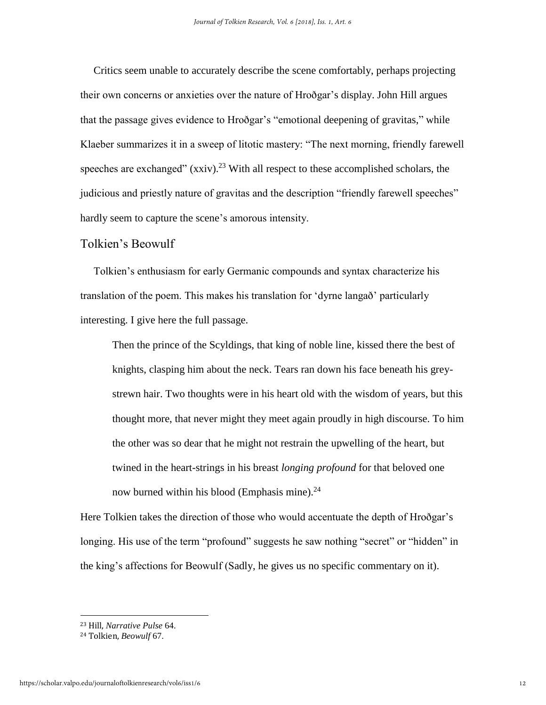Critics seem unable to accurately describe the scene comfortably, perhaps projecting their own concerns or anxieties over the nature of Hroðgar's display. John Hill argues that the passage gives evidence to Hroðgar's "emotional deepening of gravitas," while Klaeber summarizes it in a sweep of litotic mastery: "The next morning, friendly farewell speeches are exchanged"  $(xxiv)$ .<sup>23</sup> With all respect to these accomplished scholars, the judicious and priestly nature of gravitas and the description "friendly farewell speeches" hardly seem to capture the scene's amorous intensity.

### Tolkien's Beowulf

 Tolkien's enthusiasm for early Germanic compounds and syntax characterize his translation of the poem. This makes his translation for 'dyrne langað' particularly interesting. I give here the full passage.

Then the prince of the Scyldings, that king of noble line, kissed there the best of knights, clasping him about the neck. Tears ran down his face beneath his greystrewn hair. Two thoughts were in his heart old with the wisdom of years, but this thought more, that never might they meet again proudly in high discourse. To him the other was so dear that he might not restrain the upwelling of the heart, but twined in the heart-strings in his breast *longing profound* for that beloved one now burned within his blood (Emphasis mine).<sup>24</sup>

Here Tolkien takes the direction of those who would accentuate the depth of Hroðgar's longing. His use of the term "profound" suggests he saw nothing "secret" or "hidden" in the king's affections for Beowulf (Sadly, he gives us no specific commentary on it).

<sup>23</sup> Hill, *Narrative Pulse* 64.

<sup>24</sup> Tolkien, *Beowulf* 67.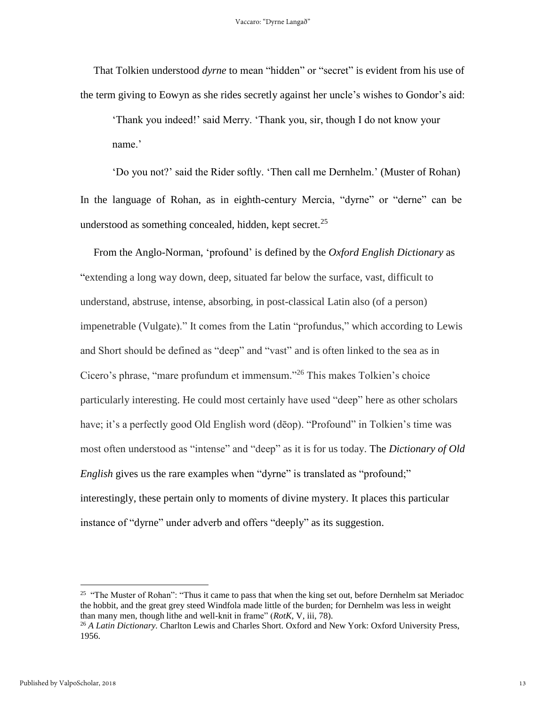That Tolkien understood *dyrne* to mean "hidden" or "secret" is evident from his use of the term giving to Eowyn as she rides secretly against her uncle's wishes to Gondor's aid:

'Thank you indeed!' said Merry. 'Thank you, sir, though I do not know your name.'

'Do you not?' said the Rider softly. 'Then call me Dernhelm.' (Muster of Rohan) In the language of Rohan, as in eighth-century Mercia, "dyrne" or "derne" can be understood as something concealed, hidden, kept secret.<sup>25</sup>

 From the Anglo-Norman, 'profound' is defined by the *Oxford English Dictionary* as "extending a long way down, deep, situated far below the surface, vast, difficult to understand, abstruse, intense, absorbing, in post-classical Latin also (of a person) impenetrable (Vulgate)." It comes from the Latin "profundus," which according to Lewis and Short should be defined as "deep" and "vast" and is often linked to the sea as in Cicero's phrase, "mare profundum et immensum."<sup>26</sup> This makes Tolkien's choice particularly interesting. He could most certainly have used "deep" here as other scholars have; it's a perfectly good Old English word (dēop). "Profound" in Tolkien's time was most often understood as "intense" and "deep" as it is for us today. The *Dictionary of Old English* gives us the rare examples when "dyrne" is translated as "profound;" interestingly, these pertain only to moments of divine mystery. It places this particular instance of "dyrne" under adverb and offers "deeply" as its suggestion.

<sup>&</sup>lt;sup>25</sup> "The Muster of Rohan": "Thus it came to pass that when the king set out, before Dernhelm sat Meriadoc the hobbit, and the great grey steed Windfola made little of the burden; for Dernhelm was less in weight than many men, though lithe and well-knit in frame" (*RotK*, V, iii, 78).

<sup>&</sup>lt;sup>26</sup> A Latin Dictionary. Charlton Lewis and Charles Short. Oxford and New York: Oxford University Press, 1956.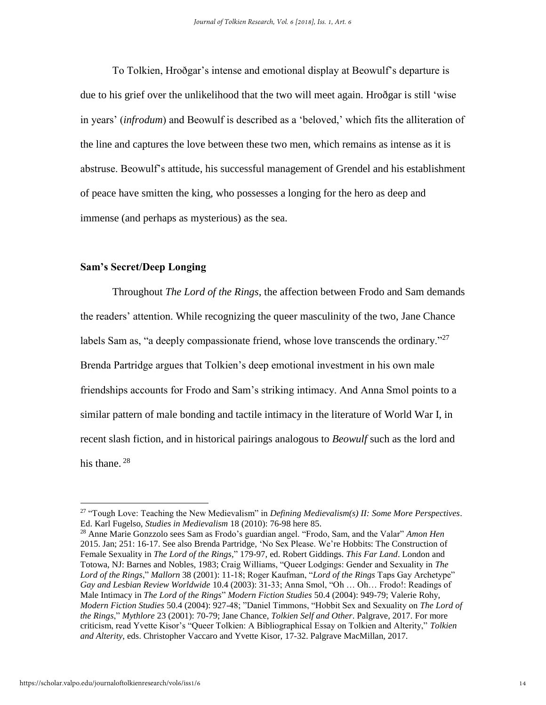To Tolkien, Hroðgar's intense and emotional display at Beowulf's departure is due to his grief over the unlikelihood that the two will meet again. Hroðgar is still 'wise in years' (*infrodum*) and Beowulf is described as a 'beloved,' which fits the alliteration of the line and captures the love between these two men, which remains as intense as it is abstruse. Beowulf's attitude, his successful management of Grendel and his establishment of peace have smitten the king, who possesses a longing for the hero as deep and immense (and perhaps as mysterious) as the sea.

## **Sam's Secret/Deep Longing**

Throughout *The Lord of the Rings*, the affection between Frodo and Sam demands the readers' attention. While recognizing the queer masculinity of the two, Jane Chance labels Sam as, "a deeply compassionate friend, whose love transcends the ordinary." $27$ Brenda Partridge argues that Tolkien's deep emotional investment in his own male friendships accounts for Frodo and Sam's striking intimacy. And Anna Smol points to a similar pattern of male bonding and tactile intimacy in the literature of World War I, in recent slash fiction, and in historical pairings analogous to *Beowulf* such as the lord and his thane.  $28$ 

<sup>27</sup> "Tough Love: Teaching the New Medievalism" in *Defining Medievalism(s) II: Some More Perspectives*. Ed. Karl Fugelso, *Studies in Medievalism* 18 (2010): 76-98 here 85.

<sup>28</sup> Anne Marie Gonzzolo sees Sam as Frodo's guardian angel. "Frodo, Sam, and the Valar" *Amon Hen* 2015. Jan; 251: 16-17. See also Brenda Partridge, 'No Sex Please. We're Hobbits: The Construction of Female Sexuality in *The Lord of the Rings,*" 179-97, ed. Robert Giddings. *This Far Land*. London and Totowa, NJ: Barnes and Nobles, 1983; Craig Williams, "Queer Lodgings: Gender and Sexuality in *The Lord of the Rings*," *Mallorn* 38 (2001): 11-18; Roger Kaufman, "*Lord of the Rings* Taps Gay Archetype" *Gay and Lesbian Review Worldwide* 10.4 (2003): 31-33; Anna Smol, "Oh … Oh… Frodo!: Readings of Male Intimacy in *The Lord of the Rings*" *Modern Fiction Studies* 50.4 (2004): 949-79; Valerie Rohy, *Modern Fiction Studies* 50.4 (2004): 927-48; "Daniel Timmons, "Hobbit Sex and Sexuality on *The Lord of the Rings*," *Mythlore* 23 (2001): 70-79; Jane Chance, *Tolkien Self and Other*. Palgrave, 2017. For more criticism, read Yvette Kisor's "Queer Tolkien: A Bibliographical Essay on Tolkien and Alterity," *Tolkien and Alterity*, eds. Christopher Vaccaro and Yvette Kisor, 17-32. Palgrave MacMillan, 2017.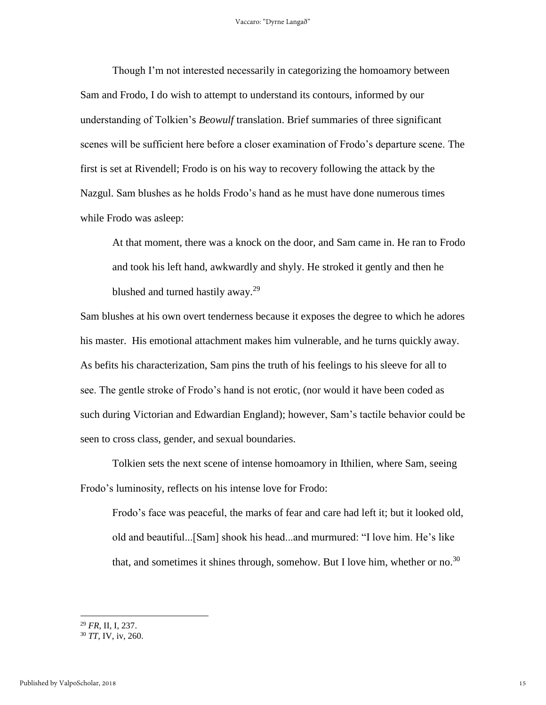Though I'm not interested necessarily in categorizing the homoamory between Sam and Frodo, I do wish to attempt to understand its contours, informed by our understanding of Tolkien's *Beowulf* translation. Brief summaries of three significant scenes will be sufficient here before a closer examination of Frodo's departure scene. The first is set at Rivendell; Frodo is on his way to recovery following the attack by the Nazgul. Sam blushes as he holds Frodo's hand as he must have done numerous times while Frodo was asleep:

At that moment, there was a knock on the door, and Sam came in. He ran to Frodo and took his left hand, awkwardly and shyly. He stroked it gently and then he blushed and turned hastily away.<sup>29</sup>

Sam blushes at his own overt tenderness because it exposes the degree to which he adores his master. His emotional attachment makes him vulnerable, and he turns quickly away. As befits his characterization, Sam pins the truth of his feelings to his sleeve for all to see. The gentle stroke of Frodo's hand is not erotic, (nor would it have been coded as such during Victorian and Edwardian England); however, Sam's tactile behavior could be seen to cross class, gender, and sexual boundaries.

Tolkien sets the next scene of intense homoamory in Ithilien, where Sam, seeing Frodo's luminosity, reflects on his intense love for Frodo:

Frodo's face was peaceful, the marks of fear and care had left it; but it looked old, old and beautiful...[Sam] shook his head...and murmured: "I love him. He's like that, and sometimes it shines through, somehow. But I love him, whether or no.<sup>30</sup>

l

<sup>29</sup> *FR*, II, I, 237.

<sup>30</sup> *TT*, IV, iv, 260.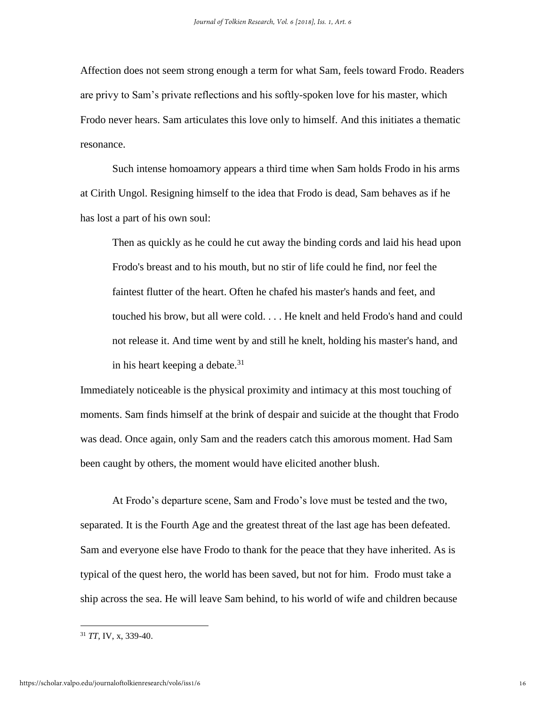Affection does not seem strong enough a term for what Sam, feels toward Frodo. Readers are privy to Sam's private reflections and his softly-spoken love for his master, which Frodo never hears. Sam articulates this love only to himself. And this initiates a thematic resonance.

Such intense homoamory appears a third time when Sam holds Frodo in his arms at Cirith Ungol. Resigning himself to the idea that Frodo is dead, Sam behaves as if he has lost a part of his own soul:

Then as quickly as he could he cut away the binding cords and laid his head upon Frodo's breast and to his mouth, but no stir of life could he find, nor feel the faintest flutter of the heart. Often he chafed his master's hands and feet, and touched his brow, but all were cold. . . . He knelt and held Frodo's hand and could not release it. And time went by and still he knelt, holding his master's hand, and in his heart keeping a debate. $31$ 

Immediately noticeable is the physical proximity and intimacy at this most touching of moments. Sam finds himself at the brink of despair and suicide at the thought that Frodo was dead. Once again, only Sam and the readers catch this amorous moment. Had Sam been caught by others, the moment would have elicited another blush.

At Frodo's departure scene, Sam and Frodo's love must be tested and the two, separated. It is the Fourth Age and the greatest threat of the last age has been defeated. Sam and everyone else have Frodo to thank for the peace that they have inherited. As is typical of the quest hero, the world has been saved, but not for him. Frodo must take a ship across the sea. He will leave Sam behind, to his world of wife and children because

<sup>31</sup> *TT*, IV, x, 339-40.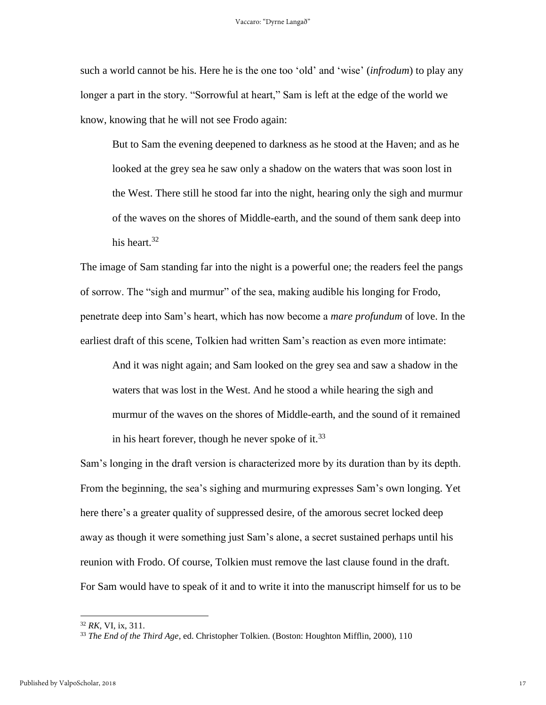such a world cannot be his. Here he is the one too 'old' and 'wise' (*infrodum*) to play any longer a part in the story. "Sorrowful at heart," Sam is left at the edge of the world we know, knowing that he will not see Frodo again:

But to Sam the evening deepened to darkness as he stood at the Haven; and as he looked at the grey sea he saw only a shadow on the waters that was soon lost in the West. There still he stood far into the night, hearing only the sigh and murmur of the waves on the shores of Middle-earth, and the sound of them sank deep into his heart.<sup>32</sup>

The image of Sam standing far into the night is a powerful one; the readers feel the pangs of sorrow. The "sigh and murmur" of the sea, making audible his longing for Frodo, penetrate deep into Sam's heart, which has now become a *mare profundum* of love. In the earliest draft of this scene, Tolkien had written Sam's reaction as even more intimate:

And it was night again; and Sam looked on the grey sea and saw a shadow in the waters that was lost in the West. And he stood a while hearing the sigh and murmur of the waves on the shores of Middle-earth, and the sound of it remained in his heart forever, though he never spoke of it.<sup>33</sup>

Sam's longing in the draft version is characterized more by its duration than by its depth. From the beginning, the sea's sighing and murmuring expresses Sam's own longing. Yet here there's a greater quality of suppressed desire, of the amorous secret locked deep away as though it were something just Sam's alone, a secret sustained perhaps until his reunion with Frodo. Of course, Tolkien must remove the last clause found in the draft. For Sam would have to speak of it and to write it into the manuscript himself for us to be

l

<sup>32</sup> *RK,* VI, ix, 311.

<sup>33</sup> *The End of the Third Age*, ed. Christopher Tolkien. (Boston: Houghton Mifflin, 2000), 110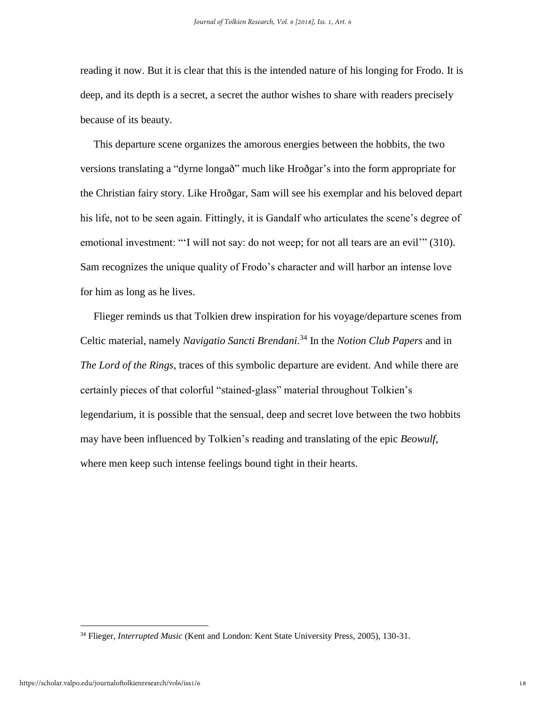reading it now. But it is clear that this is the intended nature of his longing for Frodo. It is deep, and its depth is a secret, a secret the author wishes to share with readers precisely because of its beauty.

 This departure scene organizes the amorous energies between the hobbits, the two versions translating a "dyrne longað" much like Hroðgar's into the form appropriate for the Christian fairy story. Like Hroðgar, Sam will see his exemplar and his beloved depart his life, not to be seen again. Fittingly, it is Gandalf who articulates the scene's degree of emotional investment: "'I will not say: do not weep; for not all tears are an evil'" (310). Sam recognizes the unique quality of Frodo's character and will harbor an intense love for him as long as he lives.

 Flieger reminds us that Tolkien drew inspiration for his voyage/departure scenes from Celtic material, namely *Navigatio Sancti Brendani*. <sup>34</sup> In the *Notion Club Papers* and in *The Lord of the Rings*, traces of this symbolic departure are evident. And while there are certainly pieces of that colorful "stained-glass" material throughout Tolkien's legendarium, it is possible that the sensual, deep and secret love between the two hobbits may have been influenced by Tolkien's reading and translating of the epic *Beowulf*, where men keep such intense feelings bound tight in their hearts.

<sup>34</sup> Flieger, *Interrupted Music* (Kent and London: Kent State University Press, 2005), 130-31.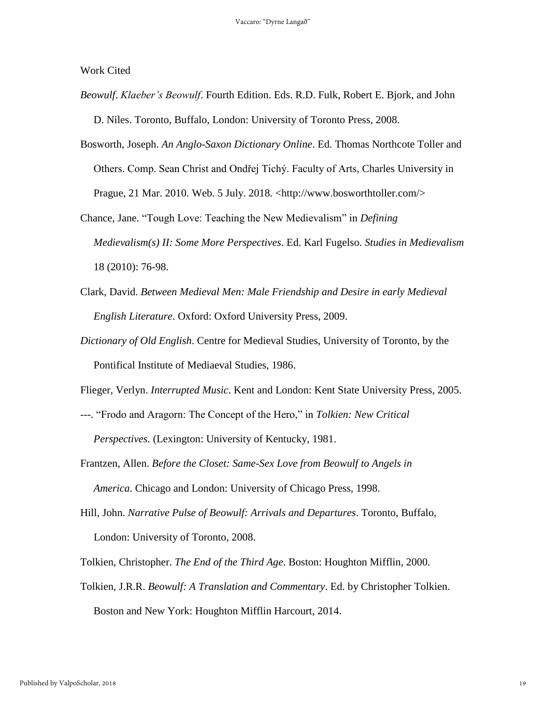Work Cited

- *Beowulf*. *Klaeber's Beowulf*. Fourth Edition. Eds. R.D. Fulk, Robert E. Bjork, and John D. Niles. Toronto, Buffalo, London: University of Toronto Press, 2008.
- Bosworth, Joseph. *An Anglo-Saxon Dictionary Online*. Ed. Thomas Northcote Toller and Others. Comp. Sean Christ and Ondřej Tichý. Faculty of Arts, Charles University in Prague, 21 Mar. 2010. Web. 5 July. 2018. <http://www.bosworthtoller.com/>
- Chance, Jane. "Tough Love: Teaching the New Medievalism" in *Defining Medievalism(s) II: Some More Perspectives*. Ed. Karl Fugelso. *Studies in Medievalism* 18 (2010): 76-98.
- Clark, David. *Between Medieval Men: Male Friendship and Desire in early Medieval English Literature*. Oxford: Oxford University Press, 2009.
- *Dictionary of Old English*. Centre for Medieval Studies, University of Toronto, by the Pontifical Institute of Mediaeval Studies, 1986.

Flieger, Verlyn. *Interrupted Music*. Kent and London: Kent State University Press, 2005.

- ---. "Frodo and Aragorn: The Concept of the Hero," in *Tolkien: New Critical Perspectives*. (Lexington: University of Kentucky, 1981.
- Frantzen, Allen. *Before the Closet: Same-Sex Love from Beowulf to Angels in America*. Chicago and London: University of Chicago Press, 1998.
- Hill, John. *Narrative Pulse of Beowulf: Arrivals and Departures*. Toronto, Buffalo, London: University of Toronto, 2008.
- Tolkien, Christopher. *The End of the Third Age*. Boston: Houghton Mifflin, 2000.
- Tolkien, J.R.R. *Beowulf: A Translation and Commentary*. Ed. by Christopher Tolkien. Boston and New York: Houghton Mifflin Harcourt, 2014.